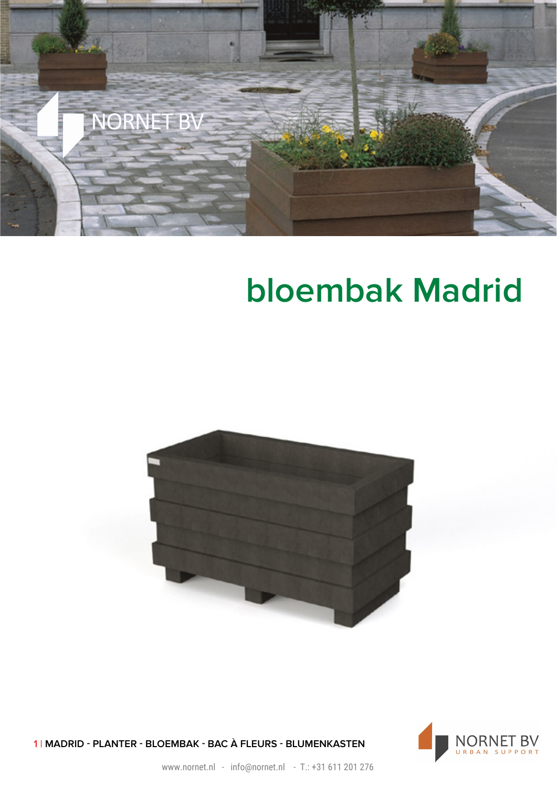

## **bloembak Madrid**





1 | MADRID - PLANTER - BLOEMBAK - BAC À FLEURS - BLUMENKASTEN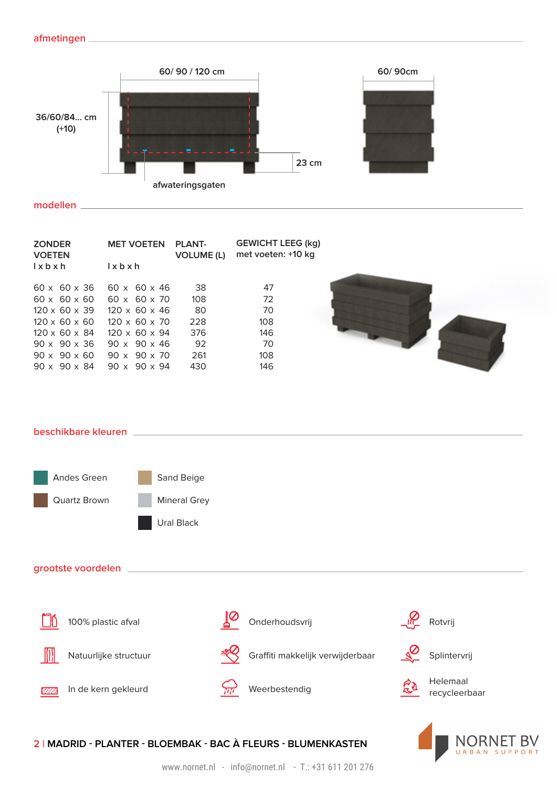

**modellen**

| <b>ZONDER</b><br><b>VOETEN</b> | <b>MET VOETEN</b>         | <b>PLANT-</b><br><b>VOLUME (L)</b> | <b>GEWICHT LEEG (kg)</b><br>met voeten: +10 kg |
|--------------------------------|---------------------------|------------------------------------|------------------------------------------------|
| $l \times b \times h$          | $l \times b \times h$     |                                    |                                                |
| $60 \times 60 \times 36$       | $60 \times 60 \times 46$  | 38                                 | 47                                             |
| $60 \times 60 \times 60$       | $60 \times 60 \times 70$  | 108                                | 72                                             |
| $120 \times 60 \times 39$      | $120 \times 60 \times 46$ | 80                                 | 70                                             |
| $120 \times 60 \times 60$      | $120 \times 60 \times 70$ | 228                                | 108                                            |
| $120 \times 60 \times 84$      | $120 \times 60 \times 94$ | 376                                | 146                                            |
| $90 \times 90 \times 36$       | $90 \times 90 \times 46$  | 92                                 | 70                                             |
| $90 \times 90 \times 60$       | $90 \times 90 \times 70$  | 261                                | 108                                            |
| $90 \times 90 \times 84$       | $90 \times 90 \times 94$  | 430                                | 146                                            |
|                                |                           |                                    |                                                |



URBAN SUPPORT

**beschikbare kleuren**



## **2 | MADRID - PLANTER - BLOEMBAK - BAC À FLEURS - BLUMENKASTEN**